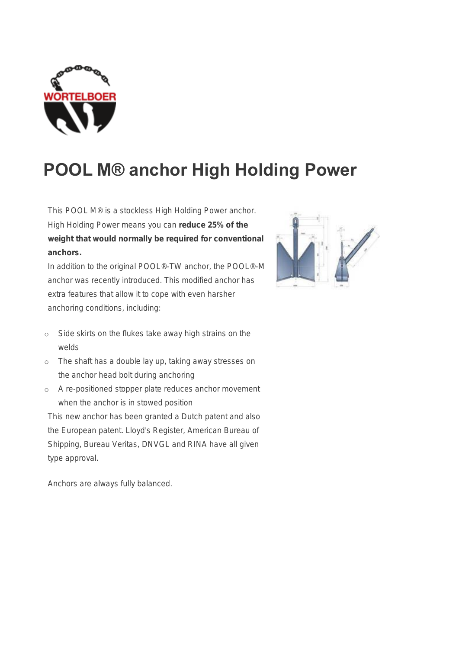

## POOL M® anchor High Holding Power

This POOL M® is a stockless High Holding Power anchor. High Holding Power means you can reduce 25% of the weight that would normally be required for conventional anchors.

In addition to the original POOL®-TW anchor, the POOL®-M anchor was recently introduced. This modified anchor has extra features that allow it to cope with even harsher anchoring conditions, including:

- o Side skirts on the flukes take away high strains on the welds
- o The shaft has a double lay up, taking away stresses on the anchor head bolt during anchoring
- o A re-positioned stopper plate reduces anchor movement when the anchor is in stowed position

This new anchor has been granted a Dutch patent and also the European patent. Lloyd's Register, American Bureau of Shipping, Bureau Veritas, DNVGL and RINA have all given type approval.

Anchors are always fully balanced.